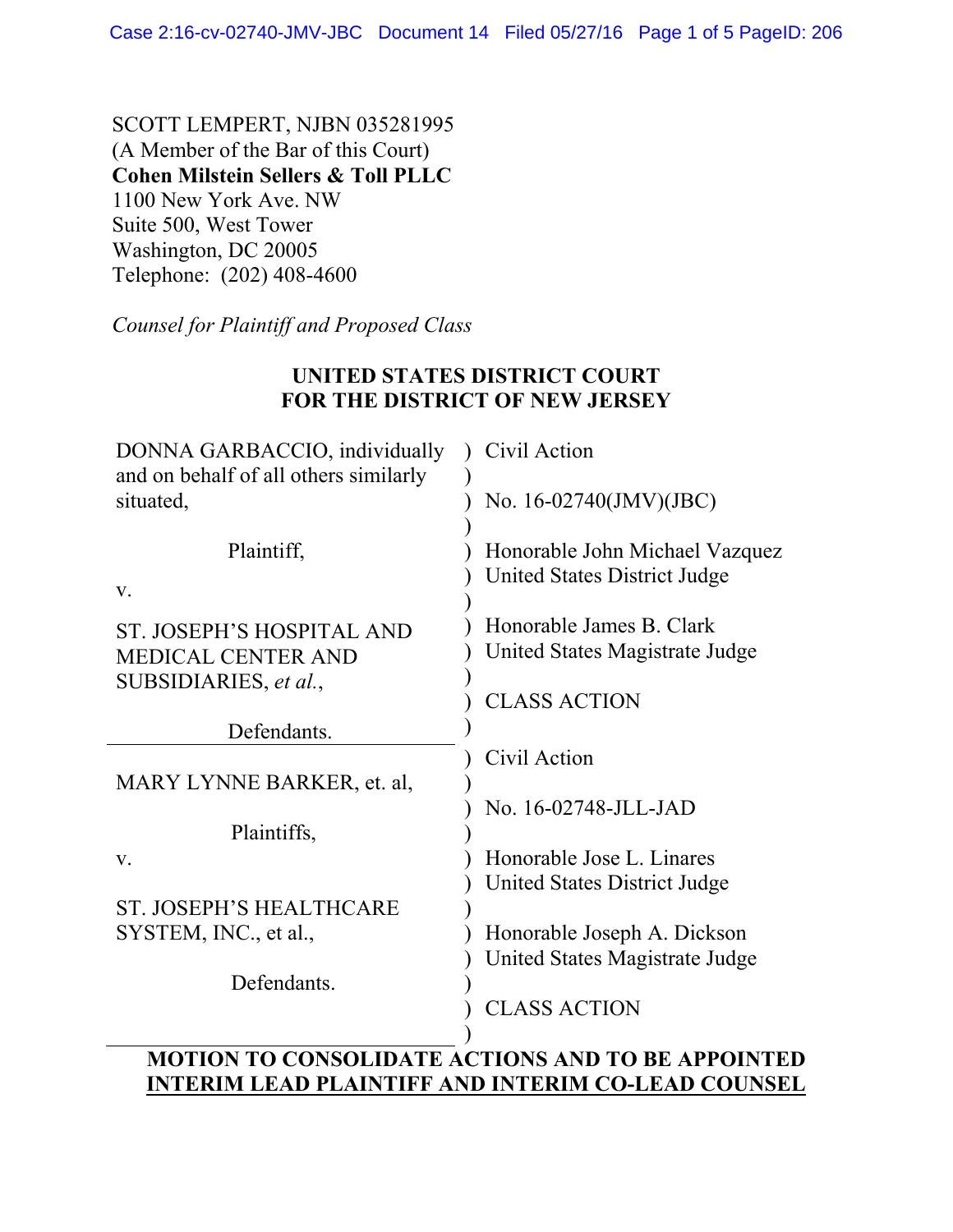SCOTT LEMPERT, NJBN 035281995 (A Member of the Bar of this Court) **Cohen Milstein Sellers & Toll PLLC** 1100 New York Ave. NW Suite 500, West Tower Washington, DC 20005 Telephone: (202) 408-4600

*Counsel for Plaintiff and Proposed Class* 

## **UNITED STATES DISTRICT COURT FOR THE DISTRICT OF NEW JERSEY**

| DONNA GARBACCIO, individually<br>and on behalf of all others similarly | Civil Action                                                   |
|------------------------------------------------------------------------|----------------------------------------------------------------|
| situated,                                                              | No. 16-02740(JMV)(JBC)                                         |
| Plaintiff,<br>V.                                                       | Honorable John Michael Vazquez<br>United States District Judge |
| ST. JOSEPH'S HOSPITAL AND<br><b>MEDICAL CENTER AND</b>                 | Honorable James B. Clark<br>United States Magistrate Judge     |
| SUBSIDIARIES, et al.,                                                  | <b>CLASS ACTION</b>                                            |
| Defendants.                                                            |                                                                |
|                                                                        | Civil Action                                                   |
| MARY LYNNE BARKER, et. al,                                             |                                                                |
|                                                                        | No. 16-02748-JLL-JAD                                           |
| Plaintiffs,                                                            |                                                                |
| V.                                                                     | Honorable Jose L. Linares                                      |
|                                                                        | United States District Judge                                   |
| <b>ST. JOSEPH'S HEALTHCARE</b>                                         |                                                                |
| SYSTEM, INC., et al.,                                                  | Honorable Joseph A. Dickson                                    |
|                                                                        |                                                                |
| Defendants.                                                            | United States Magistrate Judge                                 |
|                                                                        |                                                                |
|                                                                        | <b>CLASS ACTION</b>                                            |
|                                                                        |                                                                |
|                                                                        | <b>MOTION TO CONSOLIDATE ACTIONS AND TO BE APPOINTED</b>       |
| n ni Ammini                                                            | TIN TH<br><b>I DAD COIDIC</b><br>RDINI AA                      |

## **INTERIM LEAD PLAINTIFF AND INTERIM CO-LEAD COUNSEL**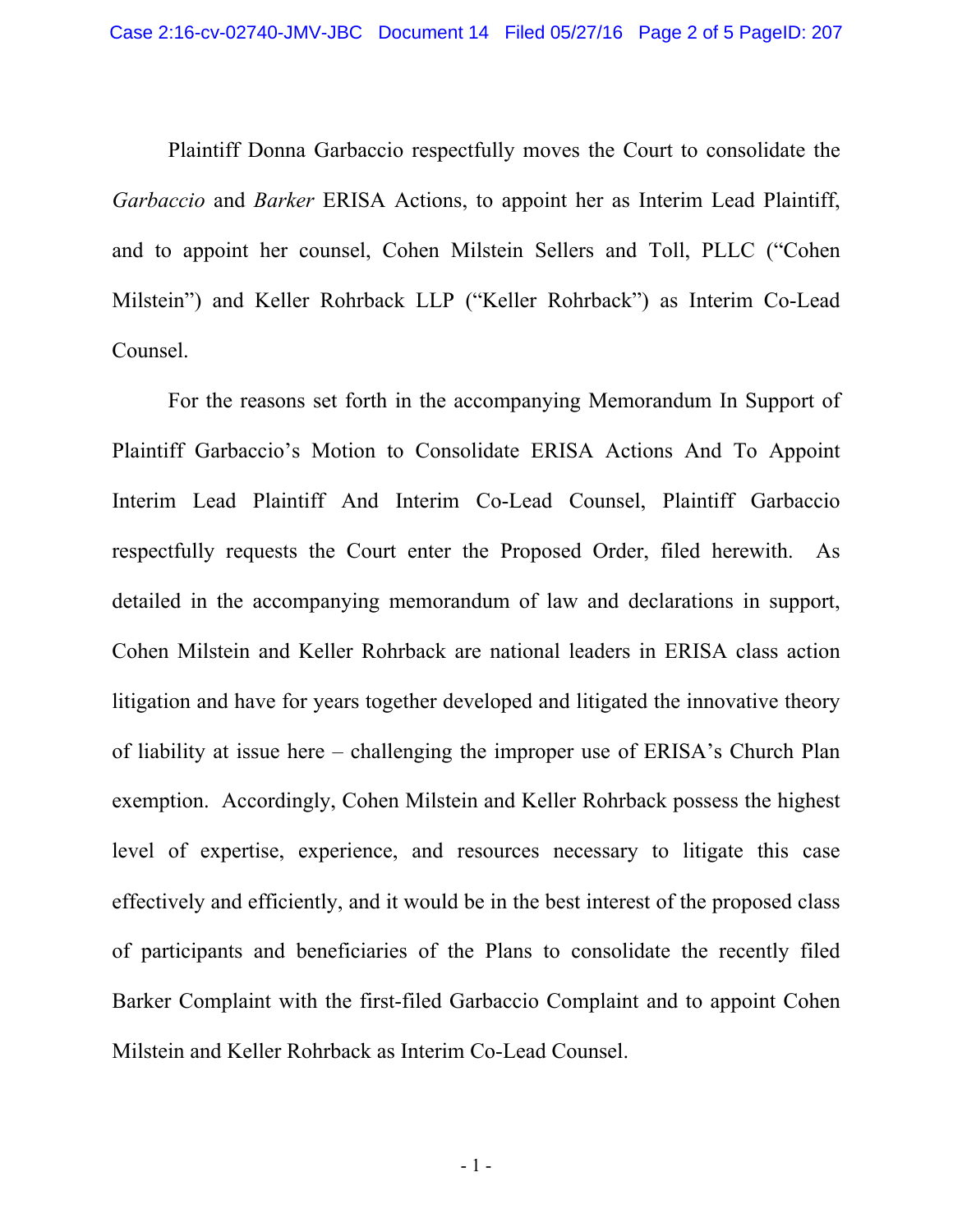Plaintiff Donna Garbaccio respectfully moves the Court to consolidate the *Garbaccio* and *Barker* ERISA Actions, to appoint her as Interim Lead Plaintiff, and to appoint her counsel, Cohen Milstein Sellers and Toll, PLLC ("Cohen Milstein") and Keller Rohrback LLP ("Keller Rohrback") as Interim Co-Lead Counsel.

For the reasons set forth in the accompanying Memorandum In Support of Plaintiff Garbaccio's Motion to Consolidate ERISA Actions And To Appoint Interim Lead Plaintiff And Interim Co-Lead Counsel, Plaintiff Garbaccio respectfully requests the Court enter the Proposed Order, filed herewith. As detailed in the accompanying memorandum of law and declarations in support, Cohen Milstein and Keller Rohrback are national leaders in ERISA class action litigation and have for years together developed and litigated the innovative theory of liability at issue here – challenging the improper use of ERISA's Church Plan exemption. Accordingly, Cohen Milstein and Keller Rohrback possess the highest level of expertise, experience, and resources necessary to litigate this case effectively and efficiently, and it would be in the best interest of the proposed class of participants and beneficiaries of the Plans to consolidate the recently filed Barker Complaint with the first-filed Garbaccio Complaint and to appoint Cohen Milstein and Keller Rohrback as Interim Co-Lead Counsel.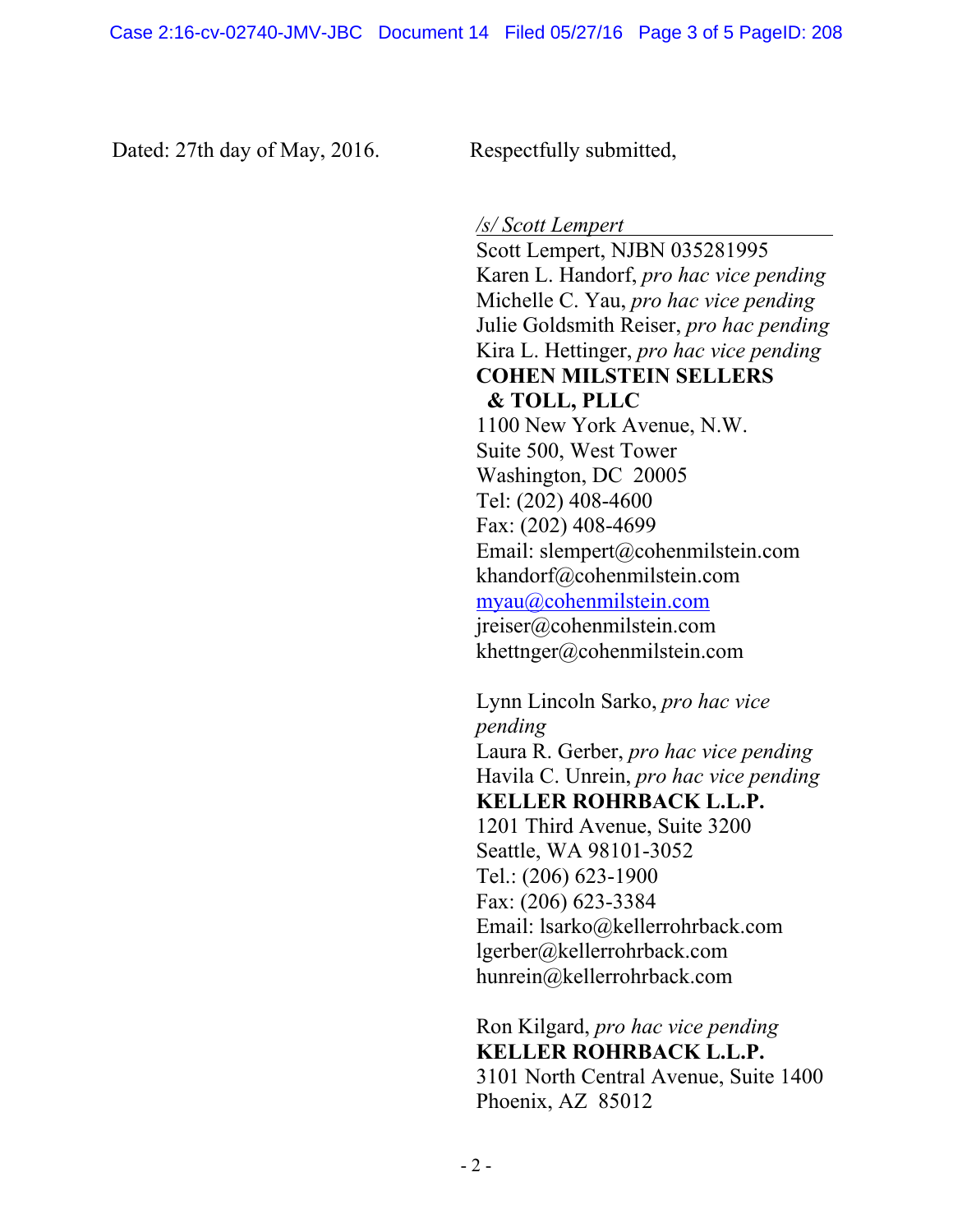Dated: 27th day of May, 2016. Respectfully submitted,

*/s/ Scott Lempert* 

Scott Lempert, NJBN 035281995 Karen L. Handorf, *pro hac vice pending* Michelle C. Yau, *pro hac vice pending*  Julie Goldsmith Reiser, *pro hac pending*  Kira L. Hettinger, *pro hac vice pending* **COHEN MILSTEIN SELLERS & TOLL, PLLC** 1100 New York Avenue, N.W. Suite 500, West Tower Washington, DC 20005 Tel: (202) 408-4600 Fax: (202) 408-4699 Email: slempert@cohenmilstein.com khandorf@cohenmilstein.com myau@cohenmilstein.com jreiser@cohenmilstein.com khettnger@cohenmilstein.com

Lynn Lincoln Sarko, *pro hac vice pending*  Laura R. Gerber, *pro hac vice pending* Havila C. Unrein, *pro hac vice pending* **KELLER ROHRBACK L.L.P.** 1201 Third Avenue, Suite 3200 Seattle, WA 98101-3052 Tel.: (206) 623-1900 Fax: (206) 623-3384 Email: lsarko@kellerrohrback.com lgerber@kellerrohrback.com hunrein@kellerrohrback.com

Ron Kilgard, *pro hac vice pending*  **KELLER ROHRBACK L.L.P.**  3101 North Central Avenue, Suite 1400 Phoenix, AZ 85012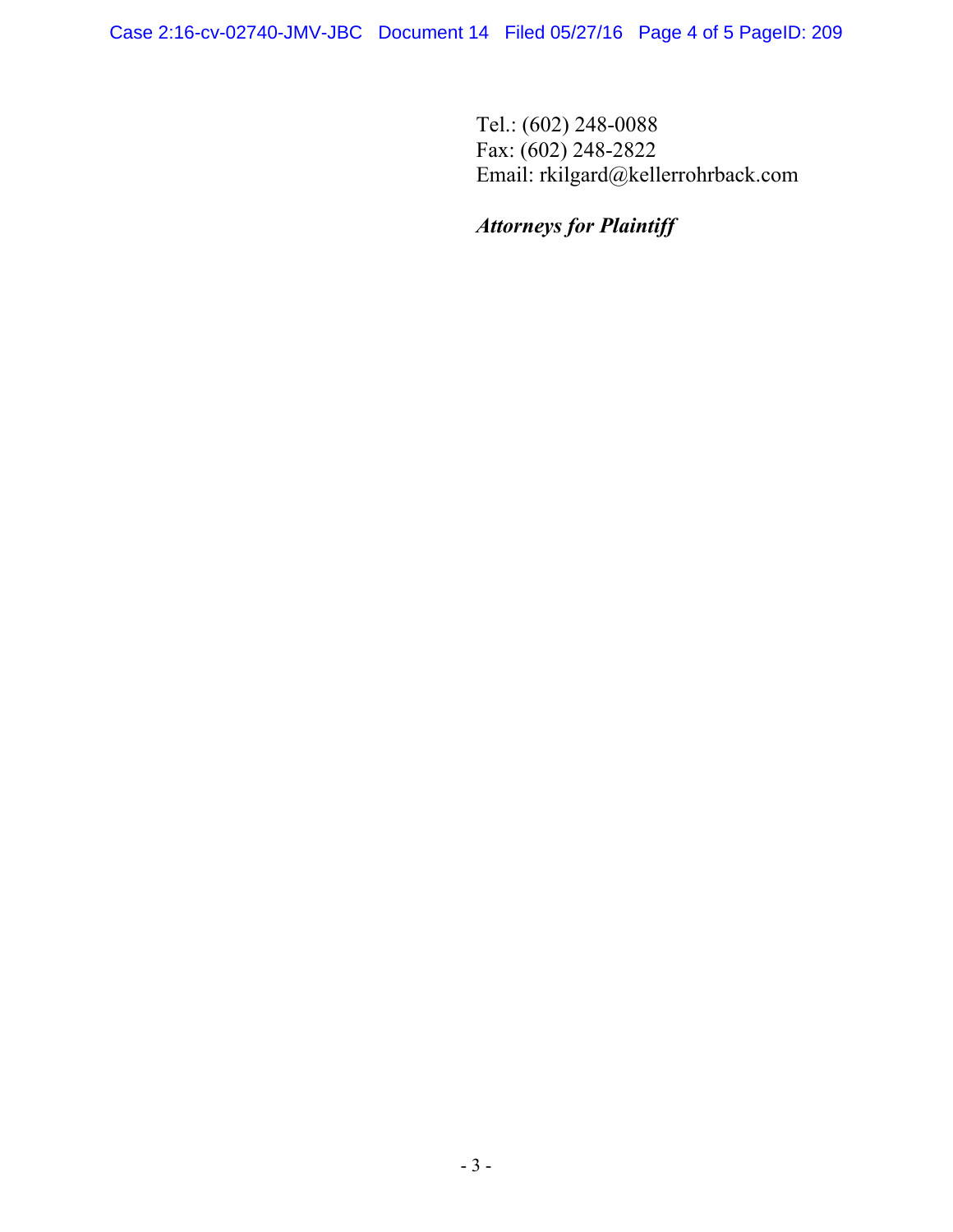Tel.: (602) 248-0088 Fax: (602) 248-2822 Email: rkilgard@kellerrohrback.com

## *Attorneys for Plaintiff*